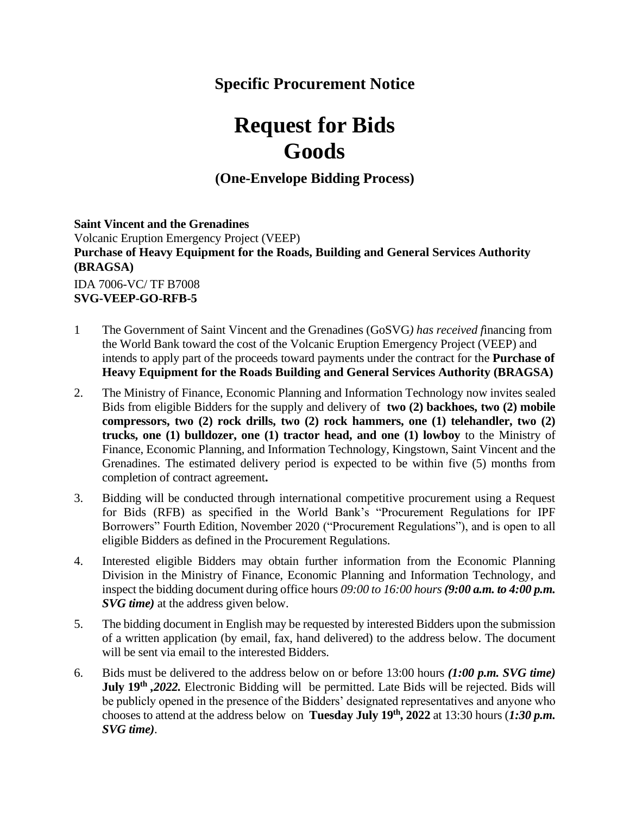# **Specific Procurement Notice**

# **Request for Bids Goods**

**(One-Envelope Bidding Process)**

## **Saint Vincent and the Grenadines**

Volcanic Eruption Emergency Project (VEEP) **Purchase of Heavy Equipment for the Roads, Building and General Services Authority (BRAGSA)** IDA 7006-VC/ TF B7008 **SVG-VEEP-GO-RFB-5**

- 1 The Government of Saint Vincent and the Grenadines (GoSVG*) has received f*inancing from the World Bank toward the cost of the Volcanic Eruption Emergency Project (VEEP) and intends to apply part of the proceeds toward payments under the contract for the **Purchase of Heavy Equipment for the Roads Building and General Services Authority (BRAGSA)**
- 2. The Ministry of Finance, Economic Planning and Information Technology now invites sealed Bids from eligible Bidders for the supply and delivery of **two (2) backhoes, two (2) mobile compressors, two (2) rock drills, two (2) rock hammers, one (1) telehandler, two (2) trucks, one (1) bulldozer, one (1) tractor head, and one (1) lowboy** to the Ministry of Finance, Economic Planning, and Information Technology, Kingstown, Saint Vincent and the Grenadines. The estimated delivery period is expected to be within five (5) months from completion of contract agreement**.**
- 3. Bidding will be conducted through international competitive procurement using a Request for Bids (RFB) as specified in the World Bank's "Procurement Regulations for IPF Borrowers" Fourth Edition, November 2020 ("Procurement Regulations"), and is open to all eligible Bidders as defined in the Procurement Regulations.
- 4. Interested eligible Bidders may obtain further information from the Economic Planning Division in the Ministry of Finance, Economic Planning and Information Technology, and inspect the bidding document during office hours *09:00 to 16:00 hours (9:00 a.m. to 4:00 p.m. SVG time)* at the address given below.
- 5. The bidding document in English may be requested by interested Bidders upon the submission of a written application (by email, fax, hand delivered) to the address below. The document will be sent via email to the interested Bidders.
- 6. Bids must be delivered to the address below on or before 13:00 hours *(1:00 p.m. SVG time)* **July 19th** *,2022.* Electronic Bidding will be permitted. Late Bids will be rejected. Bids will be publicly opened in the presence of the Bidders' designated representatives and anyone who chooses to attend at the address below on **Tuesday July 19th, 2022** at 13:30 hours (*1:30 p.m. SVG time)*.